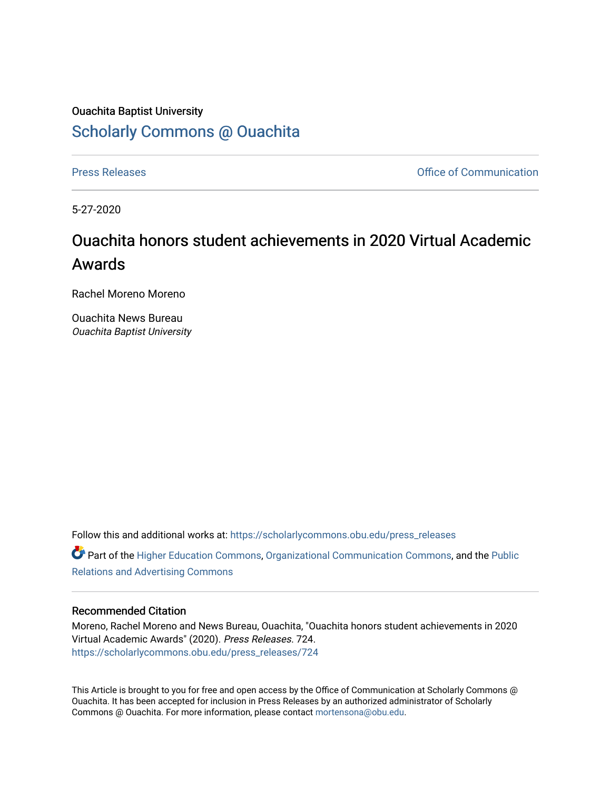# Ouachita Baptist University [Scholarly Commons @ Ouachita](https://scholarlycommons.obu.edu/)

[Press Releases](https://scholarlycommons.obu.edu/press_releases) **Press Releases Communication** 

5-27-2020

# Ouachita honors student achievements in 2020 Virtual Academic Awards

Rachel Moreno Moreno

Ouachita News Bureau Ouachita Baptist University

Follow this and additional works at: [https://scholarlycommons.obu.edu/press\\_releases](https://scholarlycommons.obu.edu/press_releases?utm_source=scholarlycommons.obu.edu%2Fpress_releases%2F724&utm_medium=PDF&utm_campaign=PDFCoverPages)

Part of the [Higher Education Commons,](http://network.bepress.com/hgg/discipline/1245?utm_source=scholarlycommons.obu.edu%2Fpress_releases%2F724&utm_medium=PDF&utm_campaign=PDFCoverPages) [Organizational Communication Commons,](http://network.bepress.com/hgg/discipline/335?utm_source=scholarlycommons.obu.edu%2Fpress_releases%2F724&utm_medium=PDF&utm_campaign=PDFCoverPages) and the [Public](http://network.bepress.com/hgg/discipline/336?utm_source=scholarlycommons.obu.edu%2Fpress_releases%2F724&utm_medium=PDF&utm_campaign=PDFCoverPages) [Relations and Advertising Commons](http://network.bepress.com/hgg/discipline/336?utm_source=scholarlycommons.obu.edu%2Fpress_releases%2F724&utm_medium=PDF&utm_campaign=PDFCoverPages) 

### Recommended Citation

Moreno, Rachel Moreno and News Bureau, Ouachita, "Ouachita honors student achievements in 2020 Virtual Academic Awards" (2020). Press Releases. 724. [https://scholarlycommons.obu.edu/press\\_releases/724](https://scholarlycommons.obu.edu/press_releases/724?utm_source=scholarlycommons.obu.edu%2Fpress_releases%2F724&utm_medium=PDF&utm_campaign=PDFCoverPages)

This Article is brought to you for free and open access by the Office of Communication at Scholarly Commons @ Ouachita. It has been accepted for inclusion in Press Releases by an authorized administrator of Scholarly Commons @ Ouachita. For more information, please contact [mortensona@obu.edu](mailto:mortensona@obu.edu).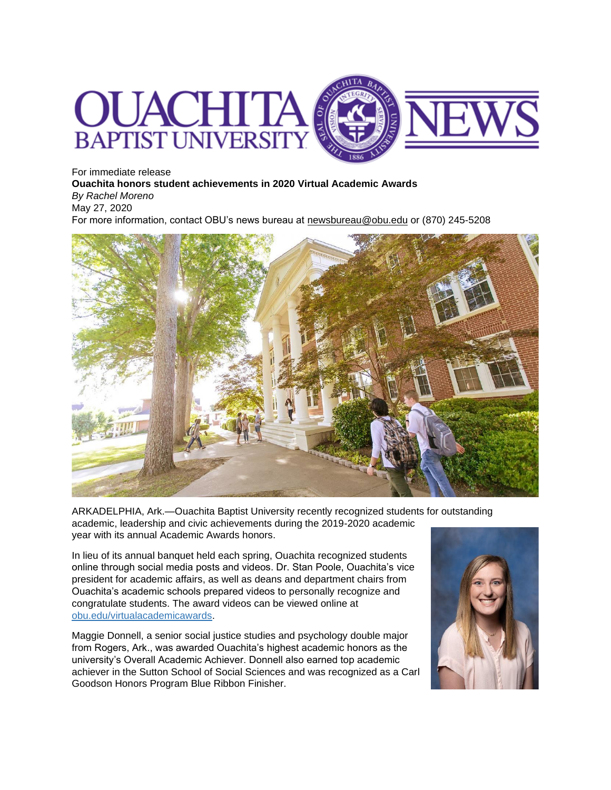

For immediate release **Ouachita honors student achievements in 2020 Virtual Academic Awards** *By Rachel Moreno* May 27, 2020 For more information, contact OBU's news bureau at [newsbureau@obu.edu](mailto:newsbureau@obu.edu) or (870) 245-5208



ARKADELPHIA, Ark.—Ouachita Baptist University recently recognized students for outstanding academic, leadership and civic achievements during the 2019-2020 academic year with its annual Academic Awards honors.

In lieu of its annual banquet held each spring, Ouachita recognized students online through social media posts and videos. Dr. Stan Poole, Ouachita's vice president for academic affairs, as well as deans and department chairs from Ouachita's academic schools prepared videos to personally recognize and congratulate students. The award videos can be viewed online at [obu.edu/virtualacademicawards.](http://www.obu.edu/virtualacademicawards)

Maggie Donnell, a senior social justice studies and psychology double major from Rogers, Ark., was awarded Ouachita's highest academic honors as the university's Overall Academic Achiever. Donnell also earned top academic achiever in the Sutton School of Social Sciences and was recognized as a Carl Goodson Honors Program Blue Ribbon Finisher.

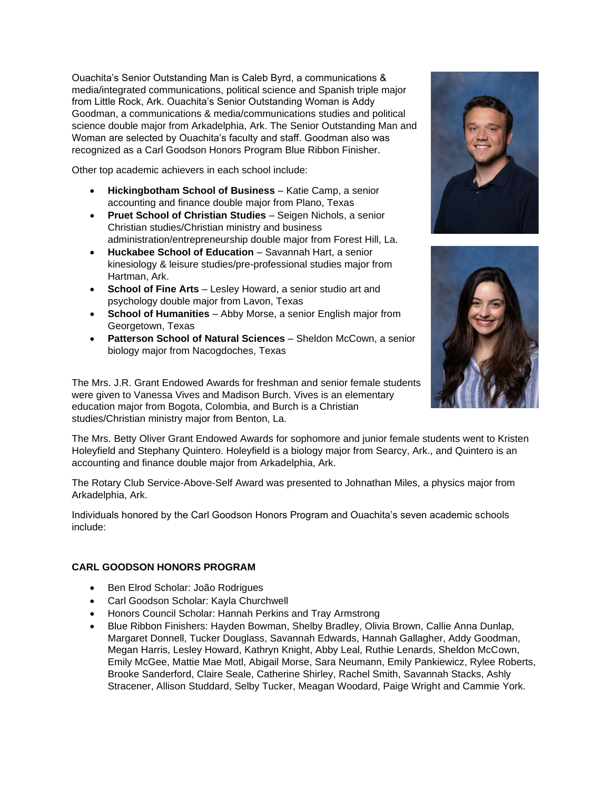Ouachita's Senior Outstanding Man is Caleb Byrd, a communications & media/integrated communications, political science and Spanish triple major from Little Rock, Ark. Ouachita's Senior Outstanding Woman is Addy Goodman, a communications & media/communications studies and political science double major from Arkadelphia, Ark. The Senior Outstanding Man and Woman are selected by Ouachita's faculty and staff. Goodman also was recognized as a Carl Goodson Honors Program Blue Ribbon Finisher.

Other top academic achievers in each school include:

- **Hickingbotham School of Business** Katie Camp, a senior accounting and finance double major from Plano, Texas
- **Pruet School of Christian Studies** Seigen Nichols, a senior Christian studies/Christian ministry and business administration/entrepreneurship double major from Forest Hill, La.
- **Huckabee School of Education** Savannah Hart, a senior kinesiology & leisure studies/pre-professional studies major from Hartman, Ark.
- **School of Fine Arts** Lesley Howard, a senior studio art and psychology double major from Lavon, Texas
- **School of Humanities** Abby Morse, a senior English major from Georgetown, Texas
- **Patterson School of Natural Sciences** Sheldon McCown, a senior biology major from Nacogdoches, Texas

The Mrs. J.R. Grant Endowed Awards for freshman and senior female students were given to Vanessa Vives and Madison Burch. Vives is an elementary education major from Bogota, Colombia, and Burch is a Christian studies/Christian ministry major from Benton, La.

The Mrs. Betty Oliver Grant Endowed Awards for sophomore and junior female students went to Kristen Holeyfield and Stephany Quintero. Holeyfield is a biology major from Searcy, Ark., and Quintero is an accounting and finance double major from Arkadelphia, Ark.

The Rotary Club Service-Above-Self Award was presented to Johnathan Miles, a physics major from Arkadelphia, Ark.

Individuals honored by the Carl Goodson Honors Program and Ouachita's seven academic schools include:

# **CARL GOODSON HONORS PROGRAM**

- Ben Elrod Scholar: João Rodrigues
- Carl Goodson Scholar: Kayla Churchwell
- Honors Council Scholar: Hannah Perkins and Tray Armstrong
- Blue Ribbon Finishers: Hayden Bowman, Shelby Bradley, Olivia Brown, Callie Anna Dunlap, Margaret Donnell, Tucker Douglass, Savannah Edwards, Hannah Gallagher, Addy Goodman, Megan Harris, Lesley Howard, Kathryn Knight, Abby Leal, Ruthie Lenards, Sheldon McCown, Emily McGee, Mattie Mae Motl, Abigail Morse, Sara Neumann, Emily Pankiewicz, Rylee Roberts, Brooke Sanderford, Claire Seale, Catherine Shirley, Rachel Smith, Savannah Stacks, Ashly Stracener, Allison Studdard, Selby Tucker, Meagan Woodard, Paige Wright and Cammie York.



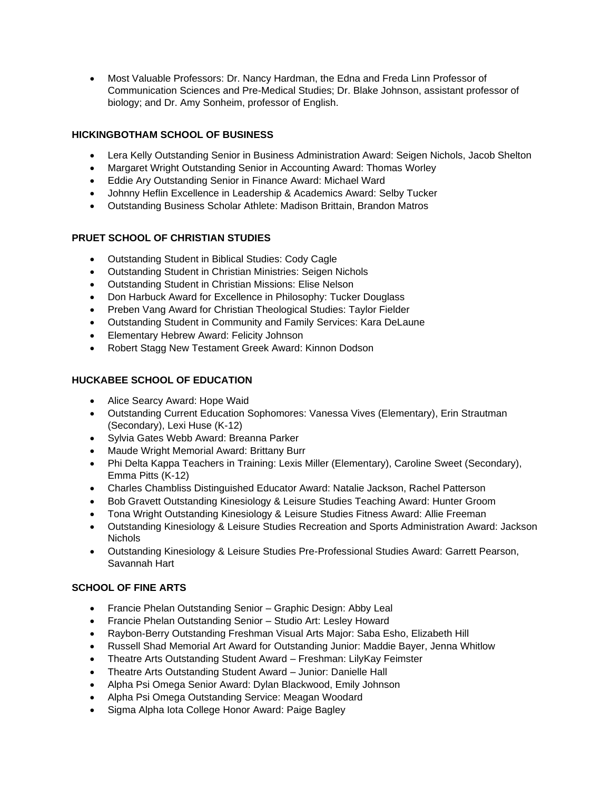• Most Valuable Professors: Dr. Nancy Hardman, the Edna and Freda Linn Professor of Communication Sciences and Pre-Medical Studies; Dr. Blake Johnson, assistant professor of biology; and Dr. Amy Sonheim, professor of English.

# **HICKINGBOTHAM SCHOOL OF BUSINESS**

- Lera Kelly Outstanding Senior in Business Administration Award: Seigen Nichols, Jacob Shelton
- Margaret Wright Outstanding Senior in Accounting Award: Thomas Worley
- Eddie Ary Outstanding Senior in Finance Award: Michael Ward
- Johnny Heflin Excellence in Leadership & Academics Award: Selby Tucker
- Outstanding Business Scholar Athlete: Madison Brittain, Brandon Matros

# **PRUET SCHOOL OF CHRISTIAN STUDIES**

- Outstanding Student in Biblical Studies: Cody Cagle
- Outstanding Student in Christian Ministries: Seigen Nichols
- Outstanding Student in Christian Missions: Elise Nelson
- Don Harbuck Award for Excellence in Philosophy: Tucker Douglass
- Preben Vang Award for Christian Theological Studies: Taylor Fielder
- Outstanding Student in Community and Family Services: Kara DeLaune
- Elementary Hebrew Award: Felicity Johnson
- Robert Stagg New Testament Greek Award: Kinnon Dodson

# **HUCKABEE SCHOOL OF EDUCATION**

- Alice Searcy Award: Hope Waid
- Outstanding Current Education Sophomores: Vanessa Vives (Elementary), Erin Strautman (Secondary), Lexi Huse (K-12)
- Sylvia Gates Webb Award: Breanna Parker
- Maude Wright Memorial Award: Brittany Burr
- Phi Delta Kappa Teachers in Training: Lexis Miller (Elementary), Caroline Sweet (Secondary), Emma Pitts (K-12)
- Charles Chambliss Distinguished Educator Award: Natalie Jackson, Rachel Patterson
- Bob Gravett Outstanding Kinesiology & Leisure Studies Teaching Award: Hunter Groom
- Tona Wright Outstanding Kinesiology & Leisure Studies Fitness Award: Allie Freeman
- Outstanding Kinesiology & Leisure Studies Recreation and Sports Administration Award: Jackson Nichols
- Outstanding Kinesiology & Leisure Studies Pre-Professional Studies Award: Garrett Pearson, Savannah Hart

# **SCHOOL OF FINE ARTS**

- Francie Phelan Outstanding Senior Graphic Design: Abby Leal
- Francie Phelan Outstanding Senior Studio Art: Lesley Howard
- Raybon-Berry Outstanding Freshman Visual Arts Major: Saba Esho, Elizabeth Hill
- Russell Shad Memorial Art Award for Outstanding Junior: Maddie Bayer, Jenna Whitlow
- Theatre Arts Outstanding Student Award Freshman: LilyKay Feimster
- Theatre Arts Outstanding Student Award Junior: Danielle Hall
- Alpha Psi Omega Senior Award: Dylan Blackwood, Emily Johnson
- Alpha Psi Omega Outstanding Service: Meagan Woodard
- Sigma Alpha Iota College Honor Award: Paige Bagley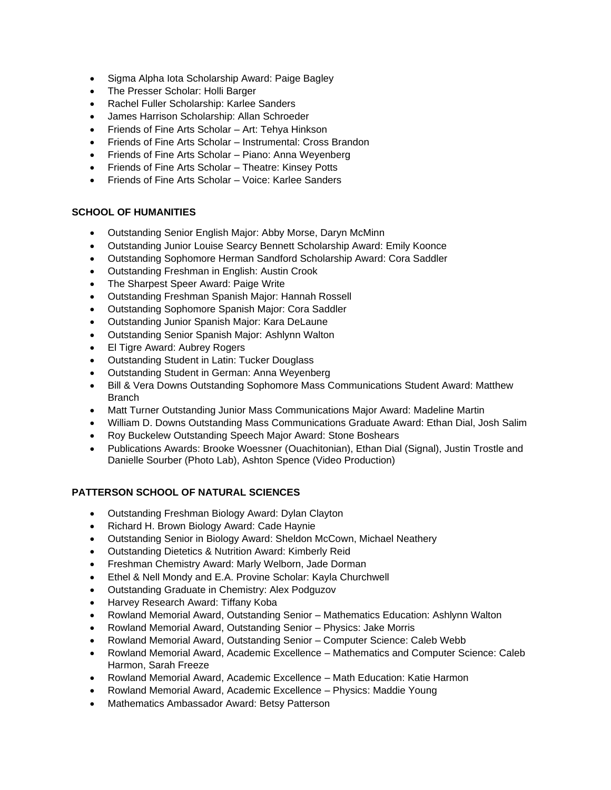- Sigma Alpha Iota Scholarship Award: Paige Bagley
- The Presser Scholar: Holli Barger
- Rachel Fuller Scholarship: Karlee Sanders
- James Harrison Scholarship: Allan Schroeder
- Friends of Fine Arts Scholar Art: Tehya Hinkson
- Friends of Fine Arts Scholar Instrumental: Cross Brandon
- Friends of Fine Arts Scholar Piano: Anna Weyenberg
- Friends of Fine Arts Scholar Theatre: Kinsey Potts
- Friends of Fine Arts Scholar Voice: Karlee Sanders

### **SCHOOL OF HUMANITIES**

- Outstanding Senior English Major: Abby Morse, Daryn McMinn
- Outstanding Junior Louise Searcy Bennett Scholarship Award: Emily Koonce
- Outstanding Sophomore Herman Sandford Scholarship Award: Cora Saddler
- Outstanding Freshman in English: Austin Crook
- The Sharpest Speer Award: Paige Write
- Outstanding Freshman Spanish Major: Hannah Rossell
- Outstanding Sophomore Spanish Major: Cora Saddler
- Outstanding Junior Spanish Major: Kara DeLaune
- Outstanding Senior Spanish Major: Ashlynn Walton
- El Tigre Award: Aubrey Rogers
- Outstanding Student in Latin: Tucker Douglass
- Outstanding Student in German: Anna Weyenberg
- Bill & Vera Downs Outstanding Sophomore Mass Communications Student Award: Matthew Branch
- Matt Turner Outstanding Junior Mass Communications Major Award: Madeline Martin
- William D. Downs Outstanding Mass Communications Graduate Award: Ethan Dial, Josh Salim
- Roy Buckelew Outstanding Speech Major Award: Stone Boshears
- Publications Awards: Brooke Woessner (Ouachitonian), Ethan Dial (Signal), Justin Trostle and Danielle Sourber (Photo Lab), Ashton Spence (Video Production)

#### **PATTERSON SCHOOL OF NATURAL SCIENCES**

- Outstanding Freshman Biology Award: Dylan Clayton
- Richard H. Brown Biology Award: Cade Haynie
- Outstanding Senior in Biology Award: Sheldon McCown, Michael Neathery
- Outstanding Dietetics & Nutrition Award: Kimberly Reid
- Freshman Chemistry Award: Marly Welborn, Jade Dorman
- Ethel & Nell Mondy and E.A. Provine Scholar: Kayla Churchwell
- Outstanding Graduate in Chemistry: Alex Podguzov
- Harvey Research Award: Tiffany Koba
- Rowland Memorial Award, Outstanding Senior Mathematics Education: Ashlynn Walton
- Rowland Memorial Award, Outstanding Senior Physics: Jake Morris
- Rowland Memorial Award, Outstanding Senior Computer Science: Caleb Webb
- Rowland Memorial Award, Academic Excellence Mathematics and Computer Science: Caleb Harmon, Sarah Freeze
- Rowland Memorial Award, Academic Excellence Math Education: Katie Harmon
- Rowland Memorial Award, Academic Excellence Physics: Maddie Young
- Mathematics Ambassador Award: Betsy Patterson